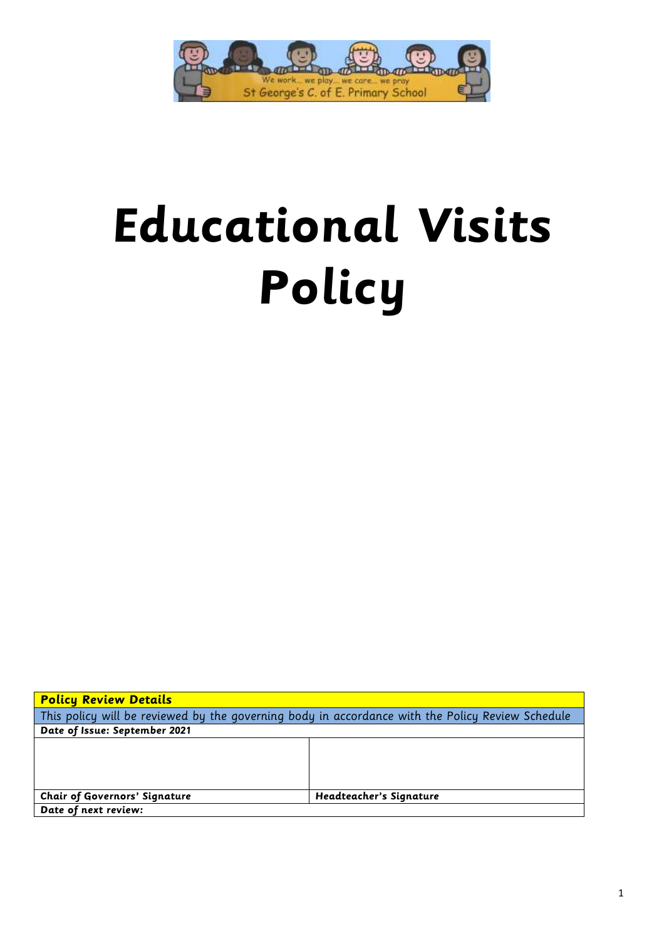

# **Educational Visits Policy**

| <b>Policy Review Details</b>                                                                     |                         |  |  |
|--------------------------------------------------------------------------------------------------|-------------------------|--|--|
| This policy will be reviewed by the governing body in accordance with the Policy Review Schedule |                         |  |  |
| Date of Issue: September 2021                                                                    |                         |  |  |
|                                                                                                  |                         |  |  |
|                                                                                                  |                         |  |  |
|                                                                                                  |                         |  |  |
|                                                                                                  |                         |  |  |
| <b>Chair of Governors' Signature</b>                                                             | Headteacher's Signature |  |  |
| Date of next review:                                                                             |                         |  |  |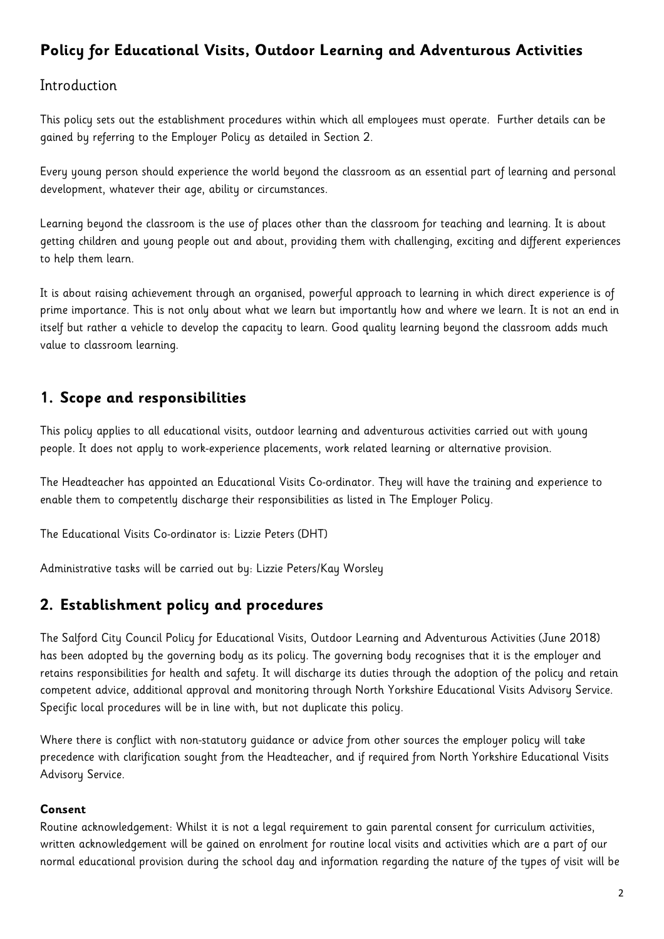# **Policy for Educational Visits, Outdoor Learning and Adventurous Activities**

### **Introduction**

This policy sets out the establishment procedures within which all employees must operate. Further details can be gained by referring to the Employer Policy as detailed in Section 2.

Every young person should experience the world beyond the classroom as an essential part of learning and personal development, whatever their age, ability or circumstances.

Learning beyond the classroom is the use of places other than the classroom for teaching and learning. It is about getting children and young people out and about, providing them with challenging, exciting and different experiences to help them learn.

It is about raising achievement through an organised, powerful approach to learning in which direct experience is of prime importance. This is not only about what we learn but importantly how and where we learn. It is not an end in itself but rather a vehicle to develop the capacity to learn. Good quality learning beyond the classroom adds much value to classroom learning.

# **1. Scope and responsibilities**

This policy applies to all educational visits, outdoor learning and adventurous activities carried out with young people. It does not apply to work-experience placements, work related learning or alternative provision.

The Headteacher has appointed an Educational Visits Co-ordinator. They will have the training and experience to enable them to competently discharge their responsibilities as listed in The Employer Policy.

The Educational Visits Co-ordinator is: Lizzie Peters (DHT)

Administrative tasks will be carried out by: Lizzie Peters/Kay Worsley

# **2. Establishment policy and procedures**

The Salford City Council Policy for Educational Visits, Outdoor Learning and Adventurous Activities (June 2018) has been adopted by the governing body as its policy. The governing body recognises that it is the employer and retains responsibilities for health and safety. It will discharge its duties through the adoption of the policy and retain competent advice, additional approval and monitoring through North Yorkshire Educational Visits Advisory Service. Specific local procedures will be in line with, but not duplicate this policy.

Where there is conflict with non-statutory guidance or advice from other sources the employer policy will take precedence with clarification sought from the Headteacher, and if required from North Yorkshire Educational Visits Advisory Service.

#### **Consent**

Routine acknowledgement: Whilst it is not a legal requirement to gain parental consent for curriculum activities, written acknowledgement will be gained on enrolment for routine local visits and activities which are a part of our normal educational provision during the school day and information regarding the nature of the types of visit will be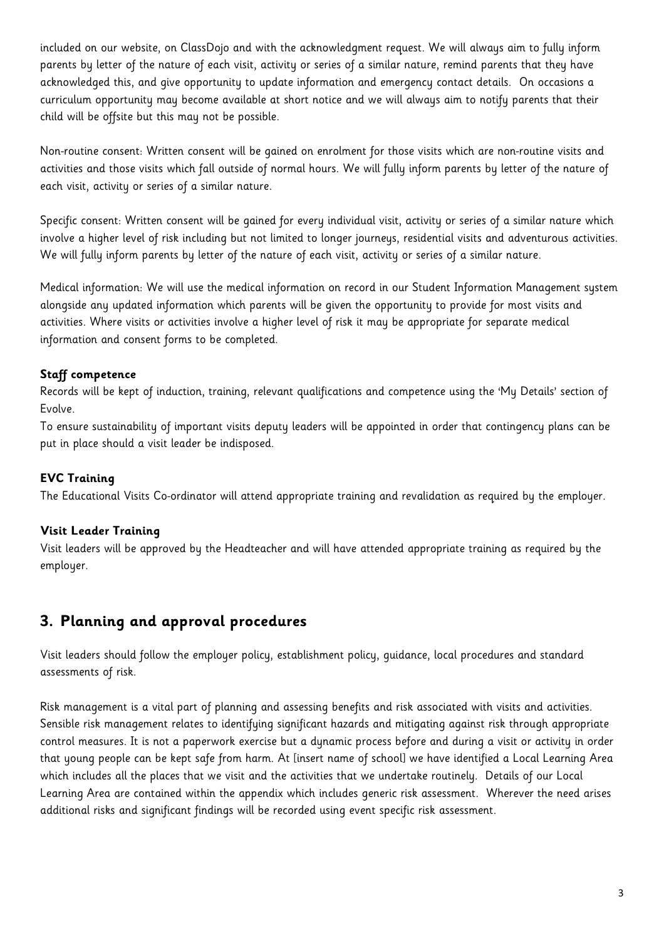included on our website, on ClassDojo and with the acknowledgment request. We will always aim to fully inform parents by letter of the nature of each visit, activity or series of a similar nature, remind parents that they have acknowledged this, and give opportunity to update information and emergency contact details. On occasions a curriculum opportunity may become available at short notice and we will always aim to notify parents that their child will be offsite but this may not be possible.

Non-routine consent: Written consent will be gained on enrolment for those visits which are non-routine visits and activities and those visits which fall outside of normal hours. We will fully inform parents by letter of the nature of each visit, activity or series of a similar nature.

Specific consent: Written consent will be gained for every individual visit, activity or series of a similar nature which involve a higher level of risk including but not limited to longer journeys, residential visits and adventurous activities. We will fully inform parents by letter of the nature of each visit, activity or series of a similar nature.

Medical information: We will use the medical information on record in our Student Information Management system alongside any updated information which parents will be given the opportunity to provide for most visits and activities. Where visits or activities involve a higher level of risk it may be appropriate for separate medical information and consent forms to be completed.

#### **Staff competence**

Records will be kept of induction, training, relevant qualifications and competence using the 'My Details' section of Evolve.

To ensure sustainability of important visits deputy leaders will be appointed in order that contingency plans can be put in place should a visit leader be indisposed.

#### **EVC Training**

The Educational Visits Co-ordinator will attend appropriate training and revalidation as required by the employer.

#### **Visit Leader Training**

Visit leaders will be approved by the Headteacher and will have attended appropriate training as required by the employer.

# **3. Planning and approval procedures**

Visit leaders should follow the employer policy, establishment policy, guidance, local procedures and standard assessments of risk.

Risk management is a vital part of planning and assessing benefits and risk associated with visits and activities. Sensible risk management relates to identifying significant hazards and mitigating against risk through appropriate control measures. It is not a paperwork exercise but a dynamic process before and during a visit or activity in order that young people can be kept safe from harm. At [insert name of school] we have identified a Local Learning Area which includes all the places that we visit and the activities that we undertake routinely. Details of our Local Learning Area are contained within the appendix which includes generic risk assessment. Wherever the need arises additional risks and significant findings will be recorded using event specific risk assessment.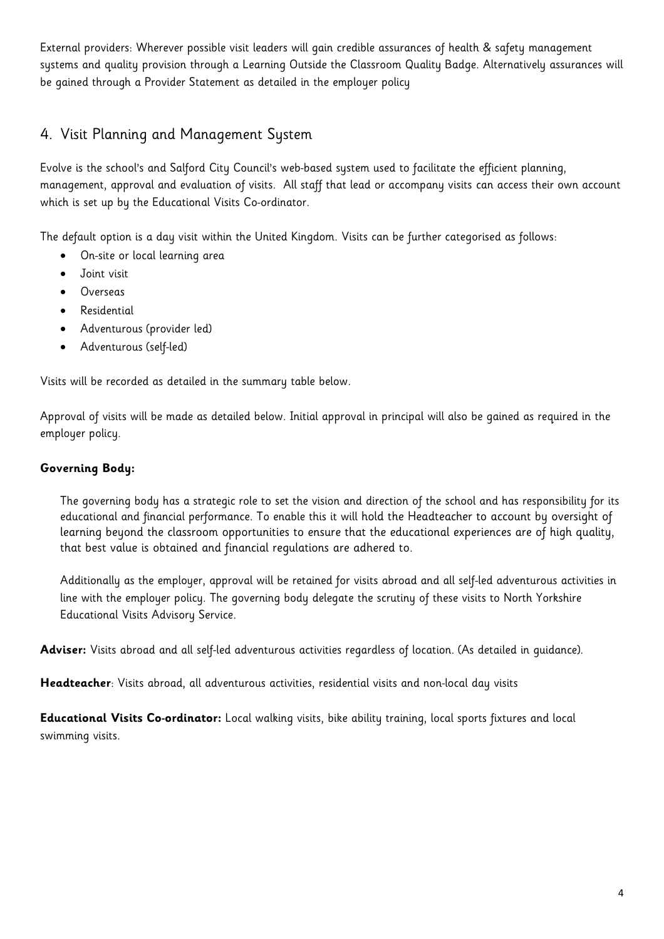External providers: Wherever possible visit leaders will gain credible assurances of health & safety management systems and quality provision through a Learning Outside the Classroom Quality Badge. Alternatively assurances will be gained through a Provider Statement as detailed in the employer policy

# 4. Visit Planning and Management System

Evolve is the school's and Salford City Council's web-based system used to facilitate the efficient planning, management, approval and evaluation of visits. All staff that lead or accompany visits can access their own account which is set up by the Educational Visits Co-ordinator.

The default option is a day visit within the United Kingdom. Visits can be further categorised as follows:

- On-site or local learning area
- Joint visit
- Overseas
- Residential
- Adventurous (provider led)
- Adventurous (self-led)

Visits will be recorded as detailed in the summary table below.

Approval of visits will be made as detailed below. Initial approval in principal will also be gained as required in the employer policy.

#### **Governing Body:**

The governing body has a strategic role to set the vision and direction of the school and has responsibility for its educational and financial performance. To enable this it will hold the Headteacher to account by oversight of learning beyond the classroom opportunities to ensure that the educational experiences are of high quality, that best value is obtained and financial regulations are adhered to.

Additionally as the employer, approval will be retained for visits abroad and all self-led adventurous activities in line with the employer policy. The governing body delegate the scrutiny of these visits to North Yorkshire Educational Visits Advisory Service.

**Adviser:** Visits abroad and all self-led adventurous activities regardless of location. (As detailed in guidance).

**Headteacher**: Visits abroad, all adventurous activities, residential visits and non-local day visits

**Educational Visits Co-ordinator:** Local walking visits, bike ability training, local sports fixtures and local swimming visits.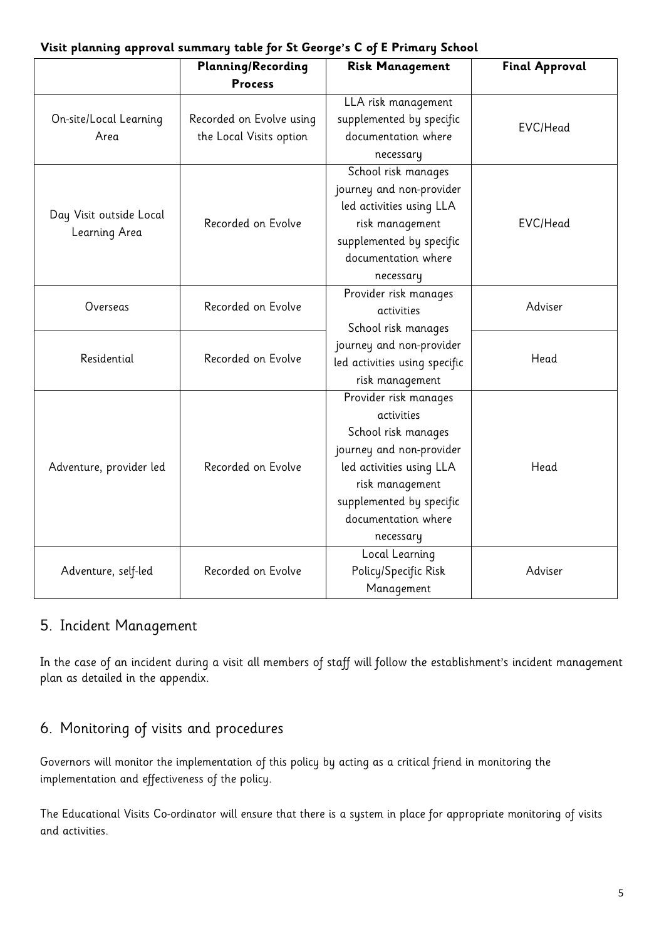#### **Visit planning approval summary table for St George's C of E Primary School**

|                                | <b>Planning/Recording</b><br><b>Process</b>         | <b>Risk Management</b>        | <b>Final Approval</b> |
|--------------------------------|-----------------------------------------------------|-------------------------------|-----------------------|
| On-site/Local Learning<br>Area | Recorded on Evolve using<br>the Local Visits option | LLA risk management           | EVC/Head              |
|                                |                                                     | supplemented by specific      |                       |
|                                |                                                     | documentation where           |                       |
|                                |                                                     | necessary                     |                       |
| Day Visit outside Local        | Recorded on Evolve                                  | School risk manages           | EVC/Head              |
|                                |                                                     | journey and non-provider      |                       |
|                                |                                                     | led activities using LLA      |                       |
| Learning Area                  |                                                     | risk management               |                       |
|                                |                                                     | supplemented by specific      |                       |
|                                |                                                     | documentation where           |                       |
|                                |                                                     | necessary                     |                       |
| Overseas                       | Recorded on Evolve                                  | Provider risk manages         | Adviser               |
|                                |                                                     | activities                    |                       |
| Residential                    | Recorded on Evolve                                  | School risk manages           |                       |
|                                |                                                     | journey and non-provider      | Head                  |
|                                |                                                     | led activities using specific |                       |
|                                |                                                     | risk management               |                       |
| Adventure, provider led        | Recorded on Evolve                                  | Provider risk manages         | Head                  |
|                                |                                                     | activities                    |                       |
|                                |                                                     | School risk manages           |                       |
|                                |                                                     | journey and non-provider      |                       |
|                                |                                                     | led activities using LLA      |                       |
|                                |                                                     | risk management               |                       |
|                                |                                                     | supplemented by specific      |                       |
|                                |                                                     | documentation where           |                       |
|                                |                                                     | necessary                     |                       |
| Adventure, self-led            | Recorded on Evolve                                  | Local Learning                | Adviser               |
|                                |                                                     | Policy/Specific Risk          |                       |
|                                |                                                     | Management                    |                       |

### 5. Incident Management

In the case of an incident during a visit all members of staff will follow the establishment's incident management plan as detailed in the appendix.

# 6. Monitoring of visits and procedures

Governors will monitor the implementation of this policy by acting as a critical friend in monitoring the implementation and effectiveness of the policy.

The Educational Visits Co-ordinator will ensure that there is a system in place for appropriate monitoring of visits and activities.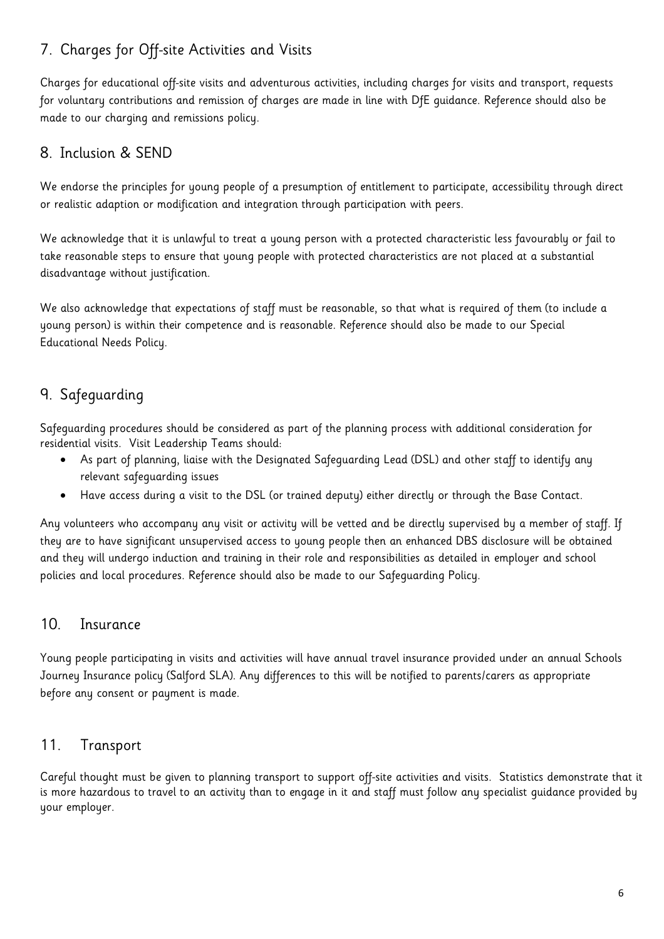# 7. Charges for Off-site Activities and Visits

Charges for educational off-site visits and adventurous activities, including charges for visits and transport, requests for voluntary contributions and remission of charges are made in line with DfE guidance. Reference should also be made to our charging and remissions policy.

# 8. Inclusion & SEND

We endorse the principles for young people of a presumption of entitlement to participate, accessibility through direct or realistic adaption or modification and integration through participation with peers.

We acknowledge that it is unlawful to treat a young person with a protected characteristic less favourably or fail to take reasonable steps to ensure that young people with protected characteristics are not placed at a substantial disadvantage without justification.

We also acknowledge that expectations of staff must be reasonable, so that what is required of them (to include a young person) is within their competence and is reasonable. Reference should also be made to our Special Educational Needs Policy.

# 9. Safeguarding

Safeguarding procedures should be considered as part of the planning process with additional consideration for residential visits. Visit Leadership Teams should:

- As part of planning, liaise with the Designated Safeguarding Lead (DSL) and other staff to identify any relevant safeguarding issues
- Have access during a visit to the DSL (or trained deputy) either directly or through the Base Contact.

Any volunteers who accompany any visit or activity will be vetted and be directly supervised by a member of staff. If they are to have significant unsupervised access to young people then an enhanced DBS disclosure will be obtained and they will undergo induction and training in their role and responsibilities as detailed in employer and school policies and local procedures. Reference should also be made to our Safeguarding Policy.

# 10. Insurance

Young people participating in visits and activities will have annual travel insurance provided under an annual Schools Journey Insurance policy (Salford SLA). Any differences to this will be notified to parents/carers as appropriate before any consent or payment is made.

# 11. Transport

Careful thought must be given to planning transport to support off-site activities and visits. Statistics demonstrate that it is more hazardous to travel to an activity than to engage in it and staff must follow any specialist guidance provided by your employer.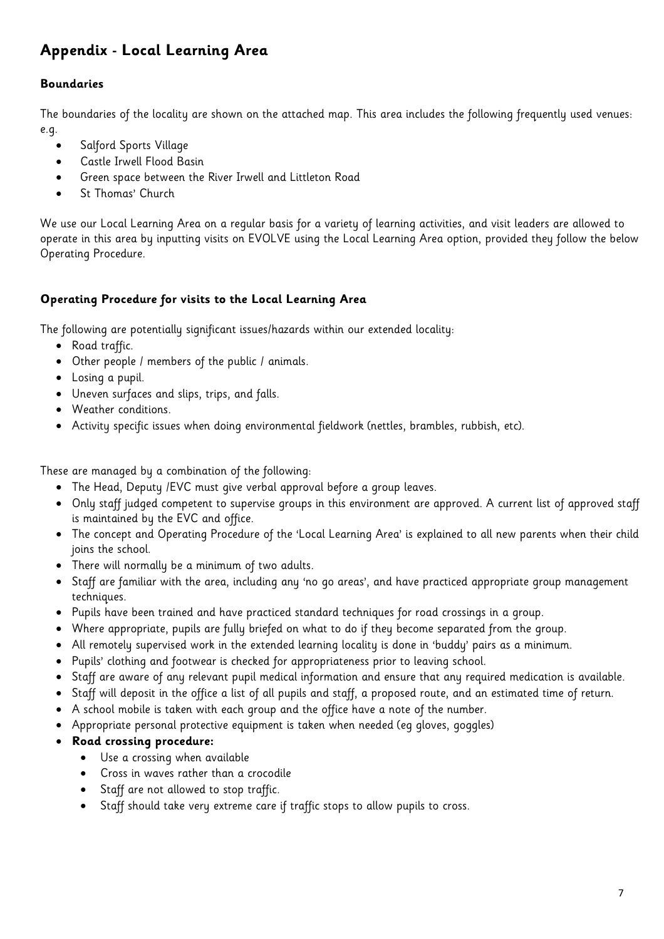# **Appendix - Local Learning Area**

#### **Boundaries**

The boundaries of the locality are shown on the attached map. This area includes the following frequently used venues: e.g.

- Salford Sports Village
- Castle Irwell Flood Basin
- Green space between the River Irwell and Littleton Road
- St Thomas' Church

We use our Local Learning Area on a regular basis for a variety of learning activities, and visit leaders are allowed to operate in this area by inputting visits on EVOLVE using the Local Learning Area option, provided they follow the below Operating Procedure.

#### **Operating Procedure for visits to the Local Learning Area**

The following are potentially significant issues/hazards within our extended locality:

- Road traffic.
- Other people / members of the public / animals.
- Losing a pupil.
- Uneven surfaces and slips, trips, and falls.
- Weather conditions.
- Activity specific issues when doing environmental fieldwork (nettles, brambles, rubbish, etc).

These are managed by a combination of the following:

- The Head, Deputy /EVC must give verbal approval before a group leaves.
- Only staff judged competent to supervise groups in this environment are approved. A current list of approved staff is maintained by the EVC and office.
- The concept and Operating Procedure of the 'Local Learning Area' is explained to all new parents when their child joins the school.
- There will normally be a minimum of two adults.
- Staff are familiar with the area, including any 'no go areas', and have practiced appropriate group management techniques.
- Pupils have been trained and have practiced standard techniques for road crossings in a group.
- Where appropriate, pupils are fully briefed on what to do if they become separated from the group.
- All remotely supervised work in the extended learning locality is done in 'buddy' pairs as a minimum.
- Pupils' clothing and footwear is checked for appropriateness prior to leaving school.
- Staff are aware of any relevant pupil medical information and ensure that any required medication is available.
- Staff will deposit in the office a list of all pupils and staff, a proposed route, and an estimated time of return.
- A school mobile is taken with each group and the office have a note of the number.
- Appropriate personal protective equipment is taken when needed (eg gloves, goggles)

#### **Road crossing procedure:**

- Use a crossing when available
- Cross in waves rather than a crocodile
- Staff are not allowed to stop traffic.
- Staff should take very extreme care if traffic stops to allow pupils to cross.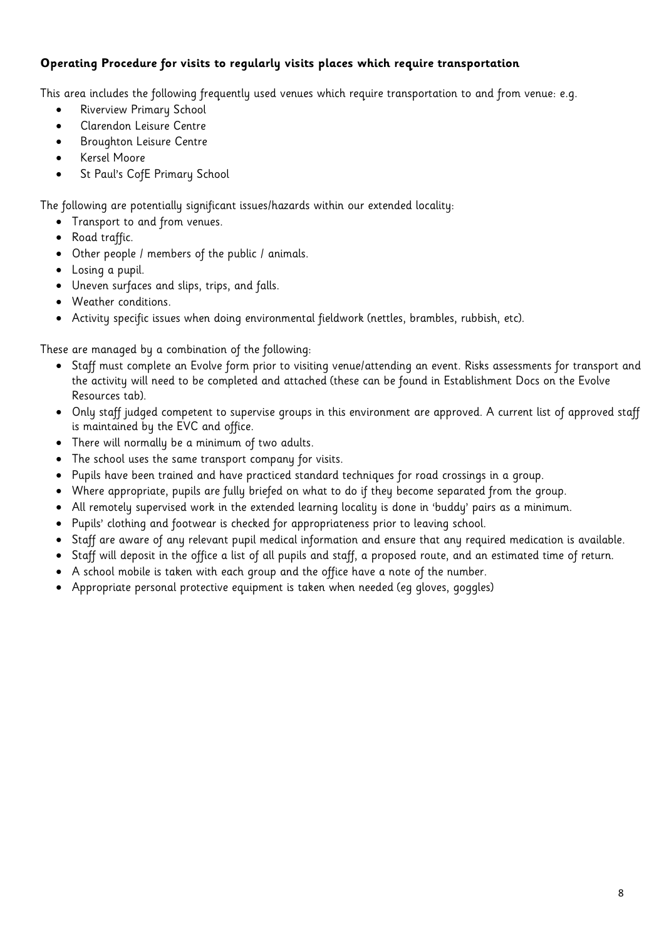#### **Operating Procedure for visits to regularly visits places which require transportation**

This area includes the following frequently used venues which require transportation to and from venue: e.g.

- **•** Riverview Primary School
- Clarendon Leisure Centre
- Broughton Leisure Centre
- Kersel Moore
- St Paul's CofE Primary School

The following are potentially significant issues/hazards within our extended locality:

- Transport to and from venues.
- Road traffic.
- Other people / members of the public / animals.
- Losing a pupil.
- Uneven surfaces and slips, trips, and falls.
- Weather conditions.
- Activity specific issues when doing environmental fieldwork (nettles, brambles, rubbish, etc).

These are managed by a combination of the following:

- Staff must complete an Evolve form prior to visiting venue/attending an event. Risks assessments for transport and the activity will need to be completed and attached (these can be found in Establishment Docs on the Evolve Resources tab).
- Only staff judged competent to supervise groups in this environment are approved. A current list of approved staff is maintained by the EVC and office.
- There will normally be a minimum of two adults.
- The school uses the same transport company for visits.
- Pupils have been trained and have practiced standard techniques for road crossings in a group.
- Where appropriate, pupils are fully briefed on what to do if they become separated from the group.
- All remotely supervised work in the extended learning locality is done in 'buddy' pairs as a minimum.
- Pupils' clothing and footwear is checked for appropriateness prior to leaving school.
- Staff are aware of any relevant pupil medical information and ensure that any required medication is available.
- Staff will deposit in the office a list of all pupils and staff, a proposed route, and an estimated time of return.
- A school mobile is taken with each group and the office have a note of the number.
- Appropriate personal protective equipment is taken when needed (eg gloves, goggles)